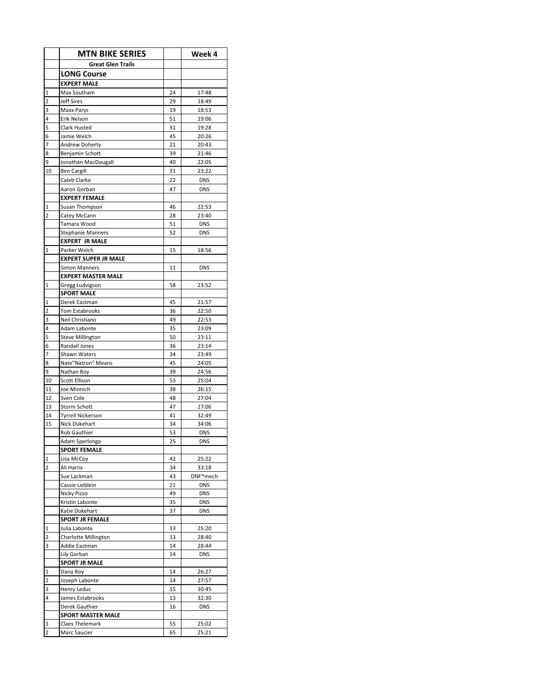|                         | <b>MTN BIKE SERIES</b>      |    | Week 4     |
|-------------------------|-----------------------------|----|------------|
|                         | <b>Great Glen Trails</b>    |    |            |
|                         | <b>LONG Course</b>          |    |            |
|                         | <b>EXPERT MALE</b>          |    |            |
| $\mathbf 1$             | Max Southam                 | 24 | 17:48      |
| $\overline{2}$          | <b>Jeff Sires</b>           | 29 | 18:49      |
| 3                       | <b>Maxx Parys</b>           | 19 | 18:53      |
| 4                       | Erik Nelson                 | 51 | 19:06      |
| 5                       | Clark Husted                | 31 | 19:28      |
| 6                       | Jamie Welch                 | 45 | 20:26      |
| 7                       | <b>Andrew Doherty</b>       | 21 | 20:43      |
| 8                       | Benjamin Schott             | 39 | 21:46      |
| 9                       | Jonathan MacDougall         | 40 | 22:05      |
| 10                      | <b>Ben Cargill</b>          | 31 | 23:22      |
|                         | Caleb Clarke                | 22 | <b>DNS</b> |
|                         | Aaron Gorban                | 47 | <b>DNS</b> |
|                         | <b>EXPERT FEMALE</b>        |    |            |
| $\mathbf{1}$            | Susan Thompson              | 46 | 22:53      |
| $\overline{2}$          | Catey McCann                | 28 | 23:40      |
|                         | Tamara Wood                 | 51 | <b>DNS</b> |
|                         | <b>Stephanie Manners</b>    | 52 | <b>DNS</b> |
|                         | <b>EXPERT JR MALE</b>       |    |            |
| $\overline{1}$          | Parker Welch                | 15 | 18:56      |
|                         | <b>EXPERT SUPER JR MALE</b> |    |            |
|                         | <b>Simon Manners</b>        | 11 | <b>DNS</b> |
|                         | <b>EXPERT MASTER MALE</b>   |    |            |
| $\mathbf{1}$            | Gregg Ludvigson             | 58 | 23:52      |
|                         | <b>SPORT MALE</b>           |    |            |
| 1                       | Derek Eastman               | 45 | 21:57      |
| $\overline{2}$          | <b>Tom Estabrooks</b>       | 36 | 22:50      |
| 3                       | Neil Christiano             | 49 | 22:53      |
| 4                       | Adam Labonte                | 35 | 23:09      |
| 5                       | <b>Steve Millington</b>     | 50 | 23:11      |
| 6                       | Randall Jones               | 36 | 23:14      |
| $\overline{7}$          | Shawn Waters                | 34 | 23:49      |
| 8                       | Nate"Natron" Means          | 45 | 24:05      |
| 9                       | Nathan Roy                  | 39 | 24:56      |
| 10                      | <b>Scott Ellison</b>        | 53 | 25:04      |
| 11                      | Joe Minnich                 | 38 | 26:15      |
| 12                      | Sven Cole                   | 48 | 27:04      |
| 13                      | Storm Schott                | 47 | 27:06      |
| 14                      | <b>Tyrrell Nickerson</b>    | 41 | 32:49      |
| 15                      | Nick Dukehart               | 34 | 34:06      |
|                         | <b>Rob Gauthier</b>         | 53 | <b>DNS</b> |
|                         | Adam Sperlonga              | 25 | <b>DNS</b> |
|                         | <b>SPORT FEMALE</b>         |    |            |
| $\mathbf 1$             | Lisa McCoy                  | 42 | 25:22      |
| $\overline{2}$          | Ali Harris                  | 34 | 33:18      |
|                         | Sue Lackman                 | 43 | DNF*mech   |
|                         | Cassie Lieblein             | 21 | <b>DNS</b> |
|                         | Nicky Pizzo                 | 49 | <b>DNS</b> |
|                         | Kristin Labonte             | 35 | <b>DNS</b> |
|                         | Katie Dukehart              | 37 | <b>DNS</b> |
|                         | <b>SPORT JR FEMALE</b>      |    |            |
| $\mathbf 1$             | Julia Labonte               | 13 | 25:20      |
| $\overline{2}$          | <b>Charlotte Millington</b> | 13 | 28:40      |
| 3                       | Addie Eastman               | 14 | 28:44      |
|                         | Lily Gorban                 | 14 | <b>DNS</b> |
|                         | <b>SPORT JR MALE</b>        |    |            |
| $\mathbf{1}$            | Dana Roy                    | 14 | 26:27      |
| $\overline{\mathbf{c}}$ | Joseph Labonte              | 14 | 27:57      |
| 3                       | Henry Leduc                 | 15 | 30:45      |
| 4                       | James Estabrooks            | 13 | 32:30      |
|                         | Derek Gauthier              | 16 | <b>DNS</b> |
|                         | <b>SPORT MASTER MALE</b>    |    |            |
| $\mathbf 1$             | Claes Thelemark             | 55 | 25:02      |
| $\overline{2}$          | Marc Saucier                | 65 | 25:21      |